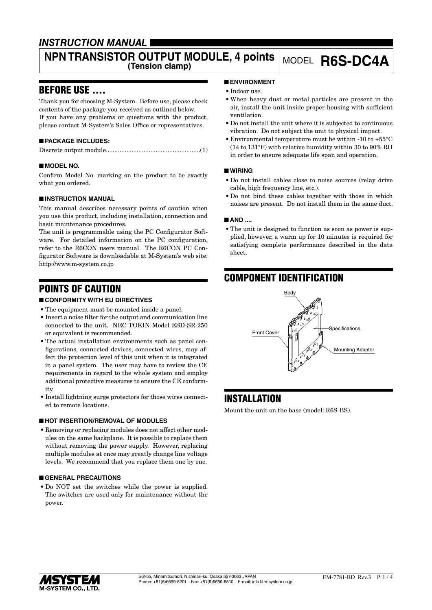## *INSTRUCTION MANUAL*

# **NPN TRANSISTOR OUTPUT MODULE, 4 points** MODEL **R6S-DC4A**

## BEFORE USE ....

Thank you for choosing M-System. Before use, please check contents of the package you received as outlined below. If you have any problems or questions with the product, please contact M-System's Sales Office or representatives.

## ■ **PACKAGE INCLUDES:**

## ■ **MODEL NO.**

Confirm Model No. marking on the product to be exactly what you ordered.

## ■ **INSTRUCTION MANUAL**

This manual describes necessary points of caution when you use this product, including installation, connection and basic maintenance procedures.

The unit is programmable using the PC Configurator Software. For detailed information on the PC configuration, refer to the R6CON users manual. The R6CON PC Configurator Software is downloadable at M-System's web site: http://www.m-system.co.jp

## POINTS OF CAUTION

## ■ **CONFORMITY WITH EU DIRECTIVES**

- The equipment must be mounted inside a panel.
- • Insert a noise filter for the output and communication line connected to the unit. NEC TOKIN Model ESD-SR-250 or equivalent is recommended.
- The actual installation environments such as panel configurations, connected devices, connected wires, may affect the protection level of this unit when it is integrated in a panel system. The user may have to review the CE requirements in regard to the whole system and employ additional protective measures to ensure the CE conformity.
- Install lightning surge protectors for those wires connected to remote locations.

## ■ **HOT INSERTION/REMOVAL OF MODULES**

• Removing or replacing modules does not affect other modules on the same backplane. It is possible to replace them without removing the power supply. However, replacing multiple modules at once may greatly change line voltage levels. We recommend that you replace them one by one.

## ■ **GENERAL PRECAUTIONS**

• Do NOT set the switches while the power is supplied. The switches are used only for maintenance without the power.

## ■ **ENVIRONMENT**

- Indoor use.
- • When heavy dust or metal particles are present in the air, install the unit inside proper housing with sufficient ventilation.
- • Do not install the unit where it is subjected to continuous vibration. Do not subject the unit to physical impact.
- • Environmental temperature must be within -10 to +55°C (14 to 131°F) with relative humidity within 30 to 90% RH in order to ensure adequate life span and operation.

## ■ **WIRING**

- • Do not install cables close to noise sources (relay drive cable, high frequency line, etc.).
- Do not bind these cables together with those in which noises are present. Do not install them in the same duct.

## ■ **AND** ....

• The unit is designed to function as soon as power is supplied, however, a warm up for 10 minutes is required for satisfying complete performance described in the data sheet.

## COMPONENT IDENTIFICATION



## INSTALLATION

Mount the unit on the base (model: R6S-BS).

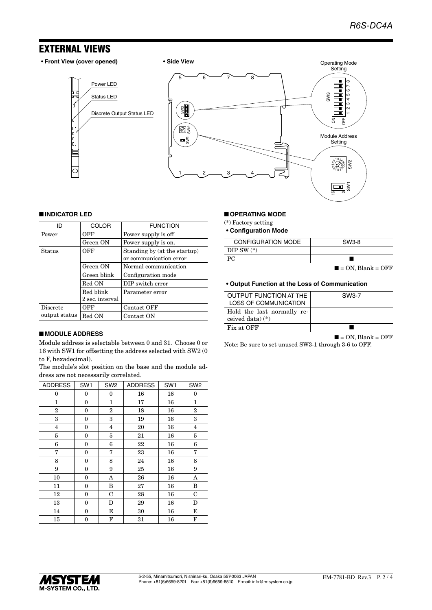## EXTERNAL VIEWS

I

l"<br>Io.

Ć



#### ■ **INDICATOR LED**

| ID              | <b>COLOR</b>    | <b>FUNCTION</b>                                        |
|-----------------|-----------------|--------------------------------------------------------|
| Power           | OFF             | Power supply is off                                    |
|                 | Green ON        | Power supply is on.                                    |
| Status          | OFF             | Standing by (at the startup)<br>or communication error |
|                 | Green ON        | Normal communication                                   |
|                 | Green blink     | Configuration mode                                     |
|                 | Red ON          | DIP switch error                                       |
|                 | Red blink       | Parameter error                                        |
|                 | 2 sec. interval |                                                        |
| <b>Discrete</b> | OFF             | Contact OFF                                            |
| output status   | Red ON          | Contact ON                                             |

#### ■ **MODULE ADDRESS**

Module address is selectable between 0 and 31. Choose 0 or 16 with SW1 for offsetting the address selected with SW2 (0 to F, hexadecimal).

The module's slot position on the base and the module address are not necessarily correlated.

| <b>ADDRESS</b> | SW <sub>1</sub>  | SW <sub>2</sub> | <b>ADDRESS</b> | SW <sub>1</sub> | SW <sub>2</sub> |
|----------------|------------------|-----------------|----------------|-----------------|-----------------|
| 0              | 0                | 0               | 16             | 16              | 0               |
| 1              | $\mathbf{0}$     | 1               | 17             | 16              | 1               |
| $\overline{2}$ | $\mathbf{0}$     | $\overline{2}$  | 18             | 16              | $\overline{2}$  |
| 3              | $\boldsymbol{0}$ | 3               | 19             | 16              | 3               |
| 4              | $\mathbf{0}$     | 4               | 20             | 16              | $\overline{4}$  |
| 5              | $\mathbf{0}$     | 5               | 21             | 16              | 5               |
| 6              | 0                | 6               | 22             | 16              | 6               |
| 7              | $\mathbf{0}$     | 7               | 23             | 16              | 7               |
| 8              | $\mathbf{0}$     | 8               | 24             | 16              | 8               |
| 9              | $\mathbf{0}$     | 9               | 25             | 16              | 9               |
| 10             | $\mathbf{0}$     | A               | 26             | 16              | A               |
| 11             | $\boldsymbol{0}$ | B               | 27             | 16              | B               |
| 12             | $\mathbf{0}$     | $\mathbf C$     | 28             | 16              | $\mathbf C$     |
| 13             | $\mathbf{0}$     | D               | 29             | 16              | D               |
| 14             | $\mathbf{0}$     | E               | 30             | 16              | Е               |
| 15             | $\mathbf{0}$     | F               | 31             | 16              | F               |

#### ■ **OPERATING MODE**

(\*) Factory setting

**• Configuration Mode**

| <b>CONFIGURATION MODE</b> | SW3-8                            |
|---------------------------|----------------------------------|
| DIP SW $(*)$              |                                  |
| PC.                       |                                  |
|                           | $\blacksquare$ = ON. Blank = OFF |

 $\mathbf{\Omega}$ 5

#### **• Output Function at the Loss of Communication**

| OUTPUT FUNCTION AT THE     | SW3-7 |
|----------------------------|-------|
| LOSS OF COMMUNICATION      |       |
| Hold the last normally re- |       |
| ceived data) $(*)$         |       |
| Fix at OFF                 |       |

 $\blacksquare$  = ON, Blank = OFF

Note: Be sure to set unused SW3-1 through 3-6 to OFF.

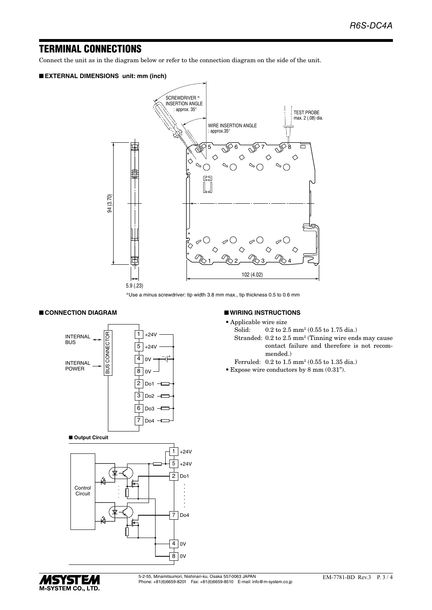## TERMINAL CONNECTIONS

Connect the unit as in the diagram below or refer to the connection diagram on the side of the unit.

#### ■ **EXTERNAL DIMENSIONS unit: mm (inch)**



\*Use a minus screwdriver: tip width 3.8 mm max., tip thickness 0.5 to 0.6 mm

■ **WIRING INSTRUCTIONS** • Applicable wire size<br>Solid:  $0.2$  to  $2$ .

Solid: 0.2 to 2.5 mm<sup>2</sup> (0.55 to 1.75 dia.)

 Ferruled: 0.2 to 1.5 mm2 (0.55 to 1.35 dia.) • Expose wire conductors by  $8 \text{ mm } (0.31$ ").

mended.)

Stranded: 0.2 to 2.5 mm2 (Tinning wire ends may cause

contact failure and therefore is not recom-

## ■ **CONNECTION DIAGRAM**





## *MSYSTEM* M-SYSTEM CO., LTD.